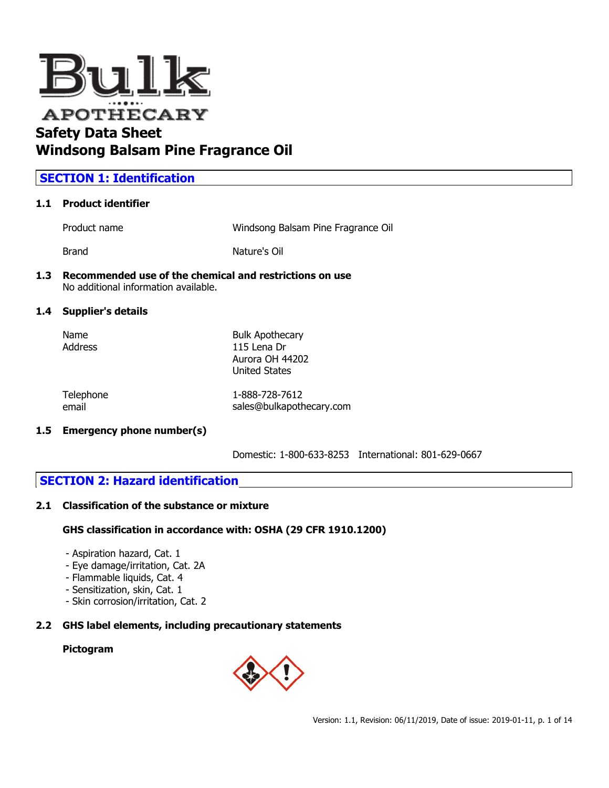

## **Windsong Balsam Pine Fragrance Oil**

## **SECTION 1: Identification**

## **1.1 Product identifier**

Product name **Mindsong Balsam Pine Fragrance Oil** 

Brand **Nature's Oil** 

#### **1.3 Recommended use of the chemical and restrictions on use** No additional information available.

## **1.4 Supplier's details**

| Name    | <b>Bulk Apothecary</b> |
|---------|------------------------|
| Address | 115 Lena Dr            |
|         | Aurora OH 44202        |
|         | <b>United States</b>   |
|         |                        |

| Telephone | 1-888-728-7612           |
|-----------|--------------------------|
| email     | sales@bulkapothecary.com |

## **1.5 Emergency phone number(s)**

Domestic: 1-800-633-8253 International: 801-629-0667

## **SECTION 2: Hazard identification**

## **2.1 Classification of the substance or mixture**

## **GHS classification in accordance with: OSHA (29 CFR 1910.1200)**

- Aspiration hazard, Cat. 1
- Eye damage/irritation, Cat. 2A
- Flammable liquids, Cat. 4
- Sensitization, skin, Cat. 1
- Skin corrosion/irritation, Cat. 2

## **2.2 GHS label elements, including precautionary statements**

## **Pictogram**

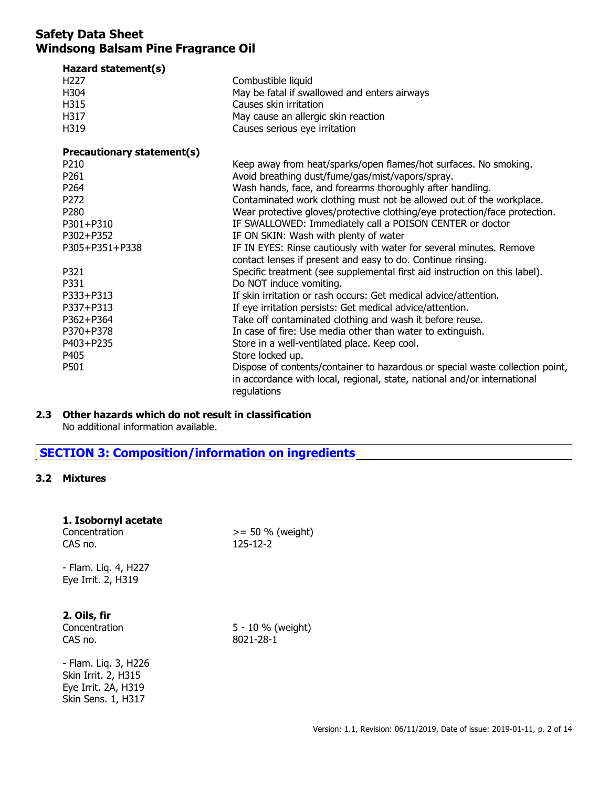| Hazard statement(s)        |                                                                               |
|----------------------------|-------------------------------------------------------------------------------|
| H <sub>227</sub>           | Combustible liquid                                                            |
| H304                       | May be fatal if swallowed and enters airways                                  |
| H315                       | Causes skin irritation                                                        |
| H317                       | May cause an allergic skin reaction                                           |
| H319                       | Causes serious eye irritation                                                 |
| Precautionary statement(s) |                                                                               |
| P210                       | Keep away from heat/sparks/open flames/hot surfaces. No smoking.              |
| P <sub>261</sub>           | Avoid breathing dust/fume/gas/mist/vapors/spray.                              |
| P264                       | Wash hands, face, and forearms thoroughly after handling.                     |
| P272                       | Contaminated work clothing must not be allowed out of the workplace.          |
| P280                       | Wear protective gloves/protective clothing/eye protection/face protection.    |
| P301+P310                  | IF SWALLOWED: Immediately call a POISON CENTER or doctor                      |
| P302+P352                  | IF ON SKIN: Wash with plenty of water                                         |
| P305+P351+P338             | IF IN EYES: Rinse cautiously with water for several minutes. Remove           |
|                            | contact lenses if present and easy to do. Continue rinsing.                   |
| P321                       | Specific treatment (see supplemental first aid instruction on this label).    |
| P331                       | Do NOT induce vomiting.                                                       |
| P333+P313                  | If skin irritation or rash occurs: Get medical advice/attention.              |
| P337+P313                  | If eye irritation persists: Get medical advice/attention.                     |
| P362+P364                  | Take off contaminated clothing and wash it before reuse.                      |
| P370+P378                  | In case of fire: Use media other than water to extinguish.                    |
| P403+P235                  | Store in a well-ventilated place. Keep cool.                                  |
| P405                       | Store locked up.                                                              |
| P501                       | Dispose of contents/container to hazardous or special waste collection point, |
|                            | in accordance with local, regional, state, national and/or international      |
|                            | regulations                                                                   |

#### **2.3 Other hazards which do not result in classification**

No additional information available.

## **SECTION 3: Composition/information on ingredients**

#### **3.2 Mixtures**

| 1. Isobornyl acetate |  |
|----------------------|--|
| Canaanahuntin n      |  |

| ------------------<br>Concentration<br>CAS no. | $>= 50 %$ (weight)<br>$125 - 12 - 2$ |
|------------------------------------------------|--------------------------------------|
| - Flam. Lig. 4, H227<br>Eye Irrit. 2, H319     |                                      |
| л: Е.                                          |                                      |

## **2. Oils, fir**

Concentration 5 - 10 % (weight) CAS no. 8021-28-1

- Flam. Liq. 3, H226 Skin Irrit. 2, H315 Eye Irrit. 2A, H319 Skin Sens. 1, H317

Version: 1.1, Revision: 06/11/2019, Date of issue: 2019-01-11, p. 2 of 14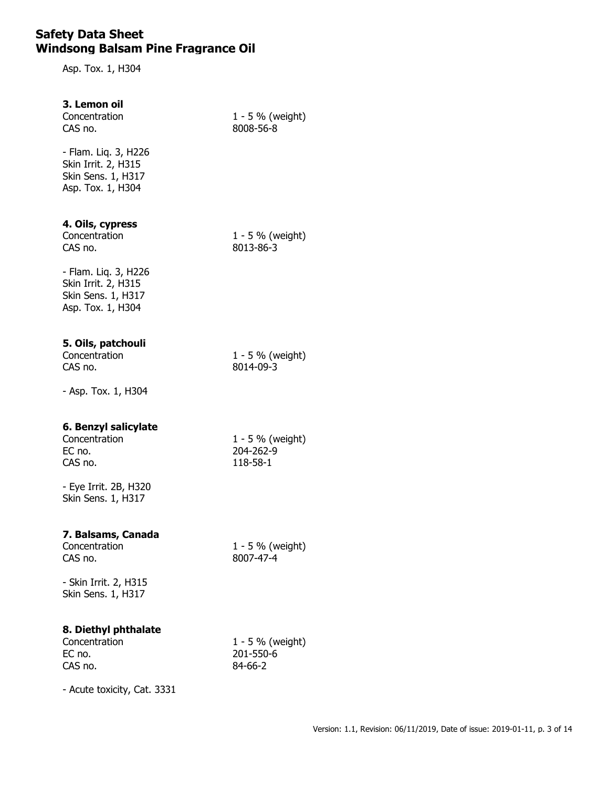Asp. Tox. 1, H304

#### **3. Lemon oil**

CAS no. 8008-56-8

Concentration 1 - 5 % (weight)

- Flam. Liq. 3, H226 Skin Irrit. 2, H315 Skin Sens. 1, H317 Asp. Tox. 1, H304

# **4. Oils, cypress**

CAS no. 8013-86-3

 $1 - 5$  % (weight)

- Flam. Liq. 3, H226 Skin Irrit. 2, H315 Skin Sens. 1, H317 Asp. Tox. 1, H304

#### **5. Oils, patchouli**

Concentration  $1 - 5\%$  (weight)<br>CAS no.  $8014-09-3$  $8014 - 09 - 3$ 

- Asp. Tox. 1, H304

## **6. Benzyl salicylate**

EC no. 204-262-9 CAS no. 118-58-1

Concentration 1 - 5 % (weight)

- Eye Irrit. 2B, H320 Skin Sens. 1, H317

#### **7. Balsams, Canada**

Concentration  $1 - 5\%$  (weight)<br>CAS no.  $8007-47-4$ 

 $8007 - 47 - 4$ 

- Skin Irrit. 2, H315 Skin Sens. 1, H317

## **8. Diethyl phthalate**

EC no. 201-550-6 CAS no. 84-66-2

Concentration 1 - 5 % (weight)

- Acute toxicity, Cat. 3331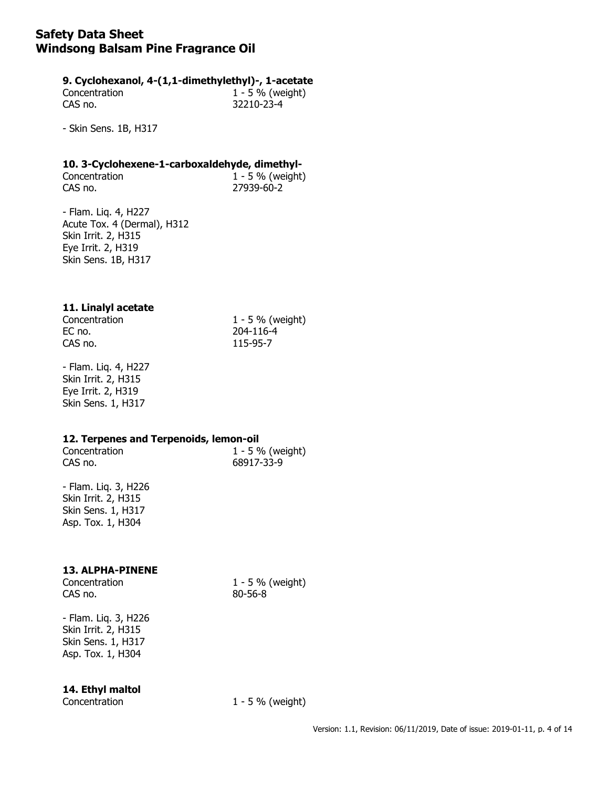#### **9. Cyclohexanol, 4-(1,1-dimethylethyl)-, 1-acetate**

Concentration 1 - 5 % (weight) CAS no. 32210-23-4

- Skin Sens. 1B, H317

# **10. 3-Cyclohexene-1-carboxaldehyde, dimethyl-**<br>Concentration **1 - 5** % (weight)

 $1 - 5$  % (weight) CAS no. 27939-60-2

- Flam. Liq. 4, H227 Acute Tox. 4 (Dermal), H312 Skin Irrit. 2, H315 Eye Irrit. 2, H319 Skin Sens. 1B, H317

## **11. Linalyl acetate**

EC no. 204-116-4 CAS no. 115-95-7

Concentration 1 - 5 % (weight)

- Flam. Liq. 4, H227 Skin Irrit. 2, H315 Eye Irrit. 2, H319 Skin Sens. 1, H317

## **12. Terpenes and Terpenoids, lemon-oil**

CAS no. 68917-33-9

Concentration 1 - 5 % (weight)

- Flam. Liq. 3, H226 Skin Irrit. 2, H315 Skin Sens. 1, H317 Asp. Tox. 1, H304

## **13. ALPHA-PINENE**

Concentration 1 - 5 % (weight) CAS no. 80-56-8

- Flam. Liq. 3, H226 Skin Irrit. 2, H315 Skin Sens. 1, H317 Asp. Tox. 1, H304

## **14. Ethyl maltol**

Concentration 1 - 5 % (weight)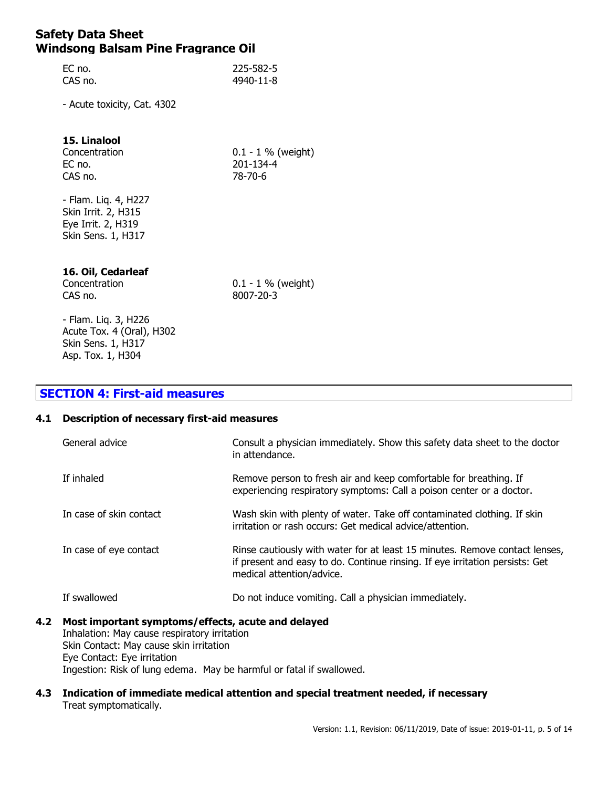| EC no.  | 225-582-5 |
|---------|-----------|
| CAS no. | 4940-11-8 |

- Acute toxicity, Cat. 4302

## **15. Linalool**

EC no. 201-134-4 CAS no. 78-70-6

Concentration 0.1 - 1 % (weight)

- Flam. Liq. 4, H227 Skin Irrit. 2, H315 Eye Irrit. 2, H319 Skin Sens. 1, H317

#### **16. Oil, Cedarleaf**

CAS no. 8007-20-3

Concentration 0.1 - 1 % (weight)

- Flam. Liq. 3, H226 Acute Tox. 4 (Oral), H302 Skin Sens. 1, H317 Asp. Tox. 1, H304

## **SECTION 4: First-aid measures**

#### **4.1 Description of necessary first-aid measures**

| General advice          | Consult a physician immediately. Show this safety data sheet to the doctor<br>in attendance.                                                                                             |
|-------------------------|------------------------------------------------------------------------------------------------------------------------------------------------------------------------------------------|
| If inhaled              | Remove person to fresh air and keep comfortable for breathing. If<br>experiencing respiratory symptoms: Call a poison center or a doctor.                                                |
| In case of skin contact | Wash skin with plenty of water. Take off contaminated clothing. If skin<br>irritation or rash occurs: Get medical advice/attention.                                                      |
| In case of eye contact  | Rinse cautiously with water for at least 15 minutes. Remove contact lenses,<br>if present and easy to do. Continue rinsing. If eye irritation persists: Get<br>medical attention/advice. |
| If swallowed            | Do not induce vomiting. Call a physician immediately.                                                                                                                                    |

#### **4.2 Most important symptoms/effects, acute and delayed** Inhalation: May cause respiratory irritation Skin Contact: May cause skin irritation Eye Contact: Eye irritation

Ingestion: Risk of lung edema. May be harmful or fatal if swallowed.

#### **4.3 Indication of immediate medical attention and special treatment needed, if necessary** Treat symptomatically.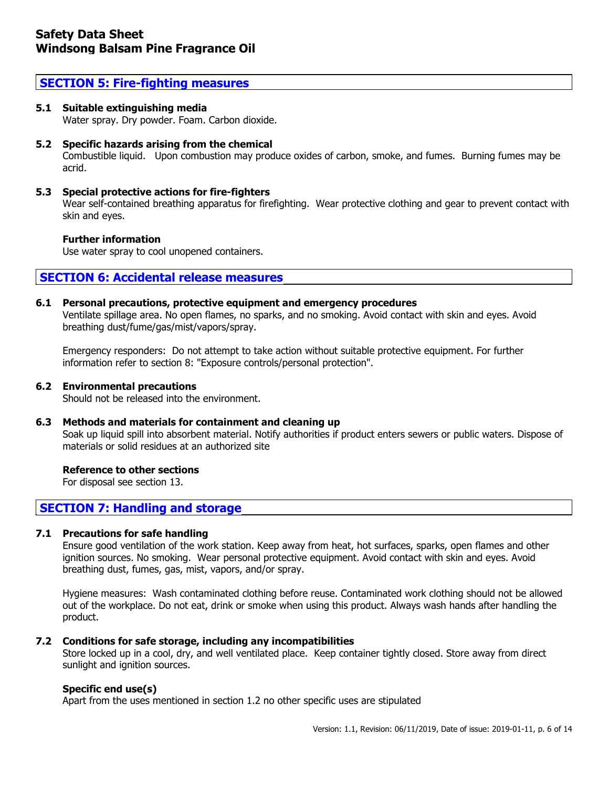### **SECTION 5: Fire-fighting measures**

#### **5.1 Suitable extinguishing media**

Water spray. Dry powder. Foam. Carbon dioxide.

#### **5.2 Specific hazards arising from the chemical**

Combustible liquid. Upon combustion may produce oxides of carbon, smoke, and fumes. Burning fumes may be acrid.

#### **5.3 Special protective actions for fire-fighters**

Wear self-contained breathing apparatus for firefighting. Wear protective clothing and gear to prevent contact with skin and eyes.

#### **Further information**

Use water spray to cool unopened containers.

## **SECTION 6: Accidental release measures**

#### **6.1 Personal precautions, protective equipment and emergency procedures**

Ventilate spillage area. No open flames, no sparks, and no smoking. Avoid contact with skin and eyes. Avoid breathing dust/fume/gas/mist/vapors/spray.

Emergency responders: Do not attempt to take action without suitable protective equipment. For further information refer to section 8: "Exposure controls/personal protection".

#### **6.2 Environmental precautions**

Should not be released into the environment.

#### **6.3 Methods and materials for containment and cleaning up**

Soak up liquid spill into absorbent material. Notify authorities if product enters sewers or public waters. Dispose of materials or solid residues at an authorized site

#### **Reference to other sections**

For disposal see section 13.

## **SECTION 7: Handling and storage**

#### **7.1 Precautions for safe handling**

Ensure good ventilation of the work station. Keep away from heat, hot surfaces, sparks, open flames and other ignition sources. No smoking. Wear personal protective equipment. Avoid contact with skin and eyes. Avoid breathing dust, fumes, gas, mist, vapors, and/or spray.

Hygiene measures: Wash contaminated clothing before reuse. Contaminated work clothing should not be allowed out of the workplace. Do not eat, drink or smoke when using this product. Always wash hands after handling the product.

#### **7.2 Conditions for safe storage, including any incompatibilities**

Store locked up in a cool, dry, and well ventilated place. Keep container tightly closed. Store away from direct sunlight and ignition sources.

#### **Specific end use(s)**

Apart from the uses mentioned in section 1.2 no other specific uses are stipulated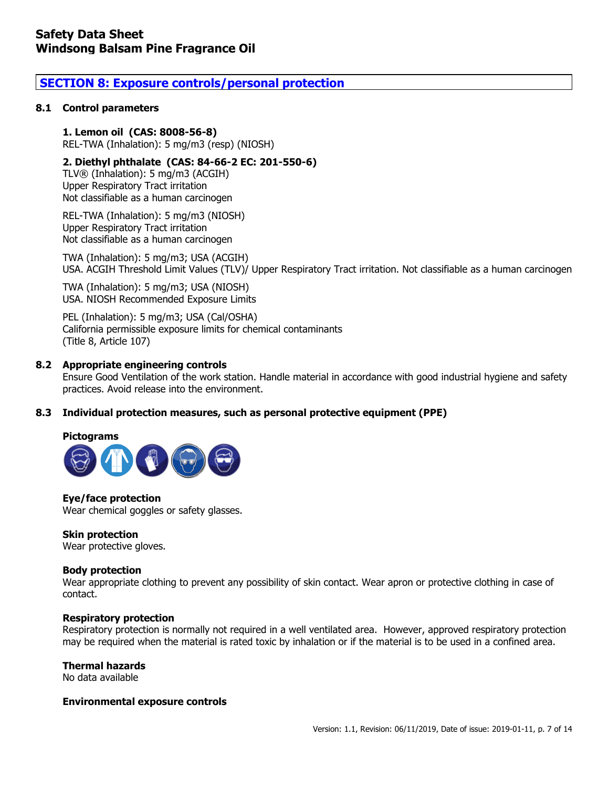## **SECTION 8: Exposure controls/personal protection**

#### **8.1 Control parameters**

#### **1. Lemon oil (CAS: 8008-56-8)**

REL-TWA (Inhalation): 5 mg/m3 (resp) (NIOSH)

#### **2. Diethyl phthalate (CAS: 84-66-2 EC: 201-550-6)**

TLV® (Inhalation): 5 mg/m3 (ACGIH) Upper Respiratory Tract irritation Not classifiable as a human carcinogen

REL-TWA (Inhalation): 5 mg/m3 (NIOSH) Upper Respiratory Tract irritation Not classifiable as a human carcinogen

TWA (Inhalation): 5 mg/m3; USA (ACGIH) USA. ACGIH Threshold Limit Values (TLV)/ Upper Respiratory Tract irritation. Not classifiable as a human carcinogen

TWA (Inhalation): 5 mg/m3; USA (NIOSH) USA. NIOSH Recommended Exposure Limits

PEL (Inhalation): 5 mg/m3; USA (Cal/OSHA) California permissible exposure limits for chemical contaminants (Title 8, Article 107)

#### **8.2 Appropriate engineering controls**

Ensure Good Ventilation of the work station. Handle material in accordance with good industrial hygiene and safety practices. Avoid release into the environment.

#### **8.3 Individual protection measures, such as personal protective equipment (PPE)**

#### **Pictograms**



**Eye/face protection** Wear chemical goggles or safety glasses.

#### **Skin protection**

Wear protective gloves.

#### **Body protection**

Wear appropriate clothing to prevent any possibility of skin contact. Wear apron or protective clothing in case of contact.

#### **Respiratory protection**

Respiratory protection is normally not required in a well ventilated area. However, approved respiratory protection may be required when the material is rated toxic by inhalation or if the material is to be used in a confined area.

#### **Thermal hazards**

No data available

#### **Environmental exposure controls**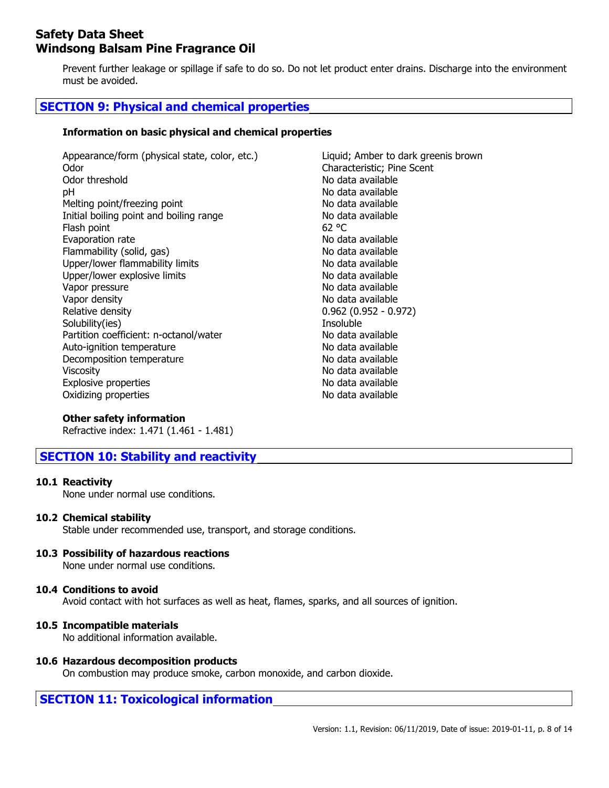Prevent further leakage or spillage if safe to do so. Do not let product enter drains. Discharge into the environment must be avoided.

## **SECTION 9: Physical and chemical properties**

#### **Information on basic physical and chemical properties**

| Appearance/form (physical state, color, etc.)<br>Odor | Liquid; Amber to dark greenis brown<br>Characteristic; Pine Scent |
|-------------------------------------------------------|-------------------------------------------------------------------|
|                                                       | No data available                                                 |
| Odor threshold                                        |                                                                   |
| рH                                                    | No data available                                                 |
| Melting point/freezing point                          | No data available                                                 |
| Initial boiling point and boiling range               | No data available                                                 |
| Flash point                                           | 62 °C                                                             |
| Evaporation rate                                      | No data available                                                 |
| Flammability (solid, gas)                             | No data available                                                 |
| Upper/lower flammability limits                       | No data available                                                 |
| Upper/lower explosive limits                          | No data available                                                 |
| Vapor pressure                                        | No data available                                                 |
| Vapor density                                         | No data available                                                 |
| Relative density                                      | $0.962(0.952 - 0.972)$                                            |
| Solubility(ies)                                       | Insoluble                                                         |
| Partition coefficient: n-octanol/water                | No data available                                                 |
| Auto-ignition temperature                             | No data available                                                 |
| Decomposition temperature                             | No data available                                                 |
| <b>Viscosity</b>                                      | No data available                                                 |
| <b>Explosive properties</b>                           | No data available                                                 |
| Oxidizing properties                                  | No data available                                                 |

#### **Other safety information**

Refractive index: 1.471 (1.461 - 1.481)

## **SECTION 10: Stability and reactivity**

#### **10.1 Reactivity**

None under normal use conditions.

#### **10.2 Chemical stability**

Stable under recommended use, transport, and storage conditions.

#### **10.3 Possibility of hazardous reactions**

None under normal use conditions.

#### **10.4 Conditions to avoid**

Avoid contact with hot surfaces as well as heat, flames, sparks, and all sources of ignition.

#### **10.5 Incompatible materials**

No additional information available.

#### **10.6 Hazardous decomposition products**

On combustion may produce smoke, carbon monoxide, and carbon dioxide.

## **SECTION 11: Toxicological information**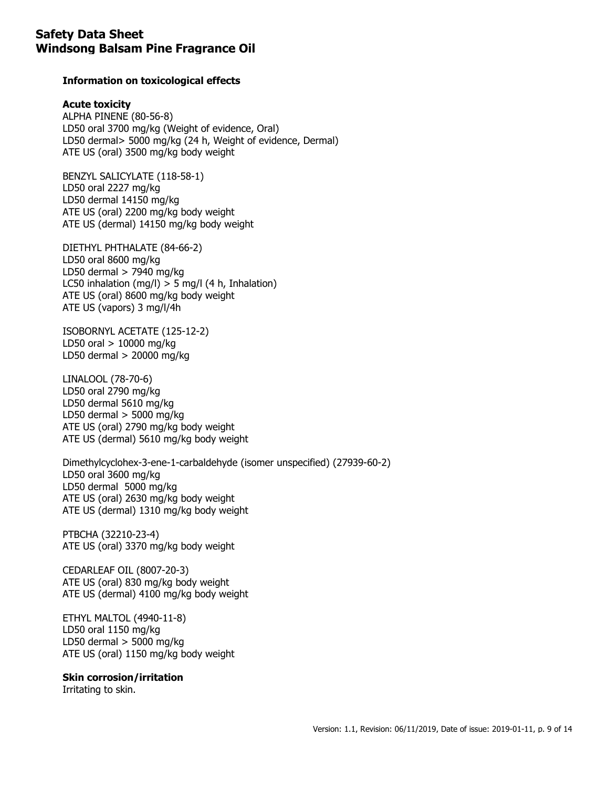#### **Information on toxicological effects**

#### **Acute toxicity**

ALPHA PINENE (80-56-8) LD50 oral 3700 mg/kg (Weight of evidence, Oral) LD50 dermal> 5000 mg/kg (24 h, Weight of evidence, Dermal) ATE US (oral) 3500 mg/kg body weight

BENZYL SALICYLATE (118-58-1) LD50 oral 2227 mg/kg LD50 dermal 14150 mg/kg ATE US (oral) 2200 mg/kg body weight ATE US (dermal) 14150 mg/kg body weight

DIETHYL PHTHALATE (84-66-2) LD50 oral 8600 mg/kg LD50 dermal > 7940 mg/kg LC50 inhalation (mg/l)  $>$  5 mg/l (4 h, Inhalation) ATE US (oral) 8600 mg/kg body weight ATE US (vapors) 3 mg/l/4h

ISOBORNYL ACETATE (125-12-2) LD50 oral  $> 10000$  mg/kg LD50 dermal > 20000 mg/kg

LINALOOL (78-70-6) LD50 oral 2790 mg/kg LD50 dermal 5610 mg/kg LD50 dermal  $>$  5000 mg/kg ATE US (oral) 2790 mg/kg body weight ATE US (dermal) 5610 mg/kg body weight

Dimethylcyclohex-3-ene-1-carbaldehyde (isomer unspecified) (27939-60-2) LD50 oral 3600 mg/kg LD50 dermal 5000 mg/kg ATE US (oral) 2630 mg/kg body weight ATE US (dermal) 1310 mg/kg body weight

PTBCHA (32210-23-4) ATE US (oral) 3370 mg/kg body weight

CEDARLEAF OIL (8007-20-3) ATE US (oral) 830 mg/kg body weight ATE US (dermal) 4100 mg/kg body weight

ETHYL MALTOL (4940-11-8) LD50 oral 1150 mg/kg LD50 dermal  $>$  5000 mg/kg ATE US (oral) 1150 mg/kg body weight

#### **Skin corrosion/irritation**

Irritating to skin.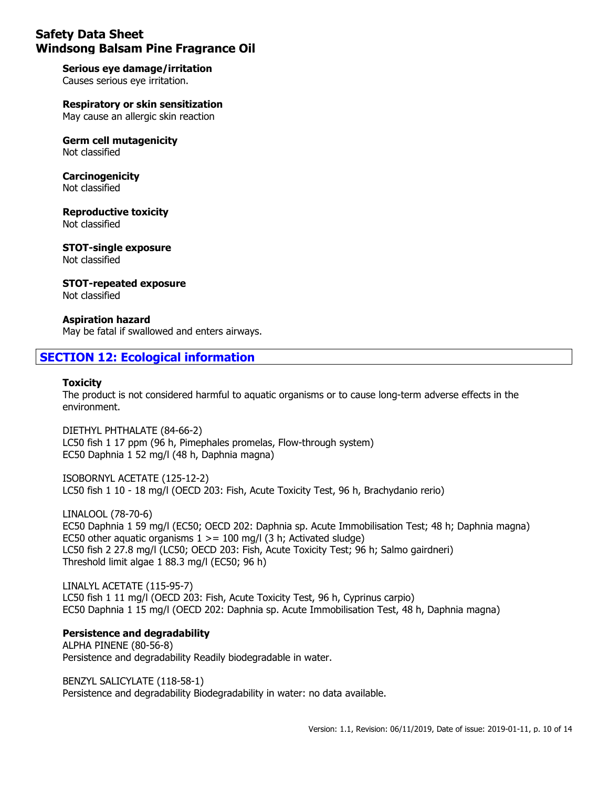**Serious eye damage/irritation** Causes serious eye irritation.

**Respiratory or skin sensitization** May cause an allergic skin reaction

**Germ cell mutagenicity** Not classified

**Carcinogenicity** Not classified

**Reproductive toxicity** Not classified

**STOT-single exposure** Not classified

**STOT-repeated exposure** Not classified

**Aspiration hazard**

May be fatal if swallowed and enters airways.

## **SECTION 12: Ecological information**

#### **Toxicity**

The product is not considered harmful to aquatic organisms or to cause long-term adverse effects in the environment.

DIETHYL PHTHALATE (84-66-2) LC50 fish 1 17 ppm (96 h, Pimephales promelas, Flow-through system) EC50 Daphnia 1 52 mg/l (48 h, Daphnia magna)

ISOBORNYL ACETATE (125-12-2) LC50 fish 1 10 - 18 mg/l (OECD 203: Fish, Acute Toxicity Test, 96 h, Brachydanio rerio)

LINALOOL (78-70-6) EC50 Daphnia 1 59 mg/l (EC50; OECD 202: Daphnia sp. Acute Immobilisation Test; 48 h; Daphnia magna) EC50 other aquatic organisms  $1 > = 100$  mg/l (3 h; Activated sludge) LC50 fish 2 27.8 mg/l (LC50; OECD 203: Fish, Acute Toxicity Test; 96 h; Salmo gairdneri) Threshold limit algae 1 88.3 mg/l (EC50; 96 h)

LINALYL ACETATE (115-95-7) LC50 fish 1 11 mg/l (OECD 203: Fish, Acute Toxicity Test, 96 h, Cyprinus carpio) EC50 Daphnia 1 15 mg/l (OECD 202: Daphnia sp. Acute Immobilisation Test, 48 h, Daphnia magna)

## **Persistence and degradability**

ALPHA PINENE (80-56-8) Persistence and degradability Readily biodegradable in water.

BENZYL SALICYLATE (118-58-1) Persistence and degradability Biodegradability in water: no data available.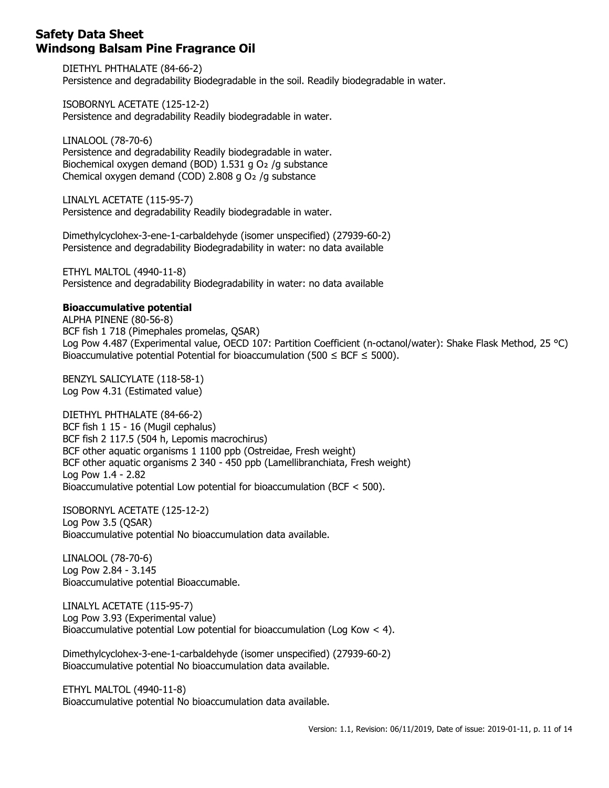DIETHYL PHTHALATE (84-66-2) Persistence and degradability Biodegradable in the soil. Readily biodegradable in water.

ISOBORNYL ACETATE (125-12-2) Persistence and degradability Readily biodegradable in water.

LINALOOL (78-70-6) Persistence and degradability Readily biodegradable in water. Biochemical oxygen demand (BOD) 1.531 g O2 /g substance Chemical oxygen demand (COD)  $2.808$  g O<sub>2</sub> /g substance

LINALYL ACETATE (115-95-7) Persistence and degradability Readily biodegradable in water.

Dimethylcyclohex-3-ene-1-carbaldehyde (isomer unspecified) (27939-60-2) Persistence and degradability Biodegradability in water: no data available

ETHYL MALTOL (4940-11-8) Persistence and degradability Biodegradability in water: no data available

#### **Bioaccumulative potential**

ALPHA PINENE (80-56-8) BCF fish 1 718 (Pimephales promelas, QSAR) Log Pow 4.487 (Experimental value, OECD 107: Partition Coefficient (n-octanol/water): Shake Flask Method, 25 °C) Bioaccumulative potential Potential for bioaccumulation (500  $\leq$  BCF  $\leq$  5000).

BENZYL SALICYLATE (118-58-1) Log Pow 4.31 (Estimated value)

DIETHYL PHTHALATE (84-66-2) BCF fish 1 15 - 16 (Mugil cephalus) BCF fish 2 117.5 (504 h, Lepomis macrochirus) BCF other aquatic organisms 1 1100 ppb (Ostreidae, Fresh weight) BCF other aquatic organisms 2 340 - 450 ppb (Lamellibranchiata, Fresh weight) Log Pow 1.4 - 2.82 Bioaccumulative potential Low potential for bioaccumulation (BCF < 500).

ISOBORNYL ACETATE (125-12-2) Log Pow 3.5 (QSAR) Bioaccumulative potential No bioaccumulation data available.

LINALOOL (78-70-6) Log Pow 2.84 - 3.145 Bioaccumulative potential Bioaccumable.

LINALYL ACETATE (115-95-7) Log Pow 3.93 (Experimental value) Bioaccumulative potential Low potential for bioaccumulation (Log Kow  $\lt$  4).

Dimethylcyclohex-3-ene-1-carbaldehyde (isomer unspecified) (27939-60-2) Bioaccumulative potential No bioaccumulation data available.

ETHYL MALTOL (4940-11-8) Bioaccumulative potential No bioaccumulation data available.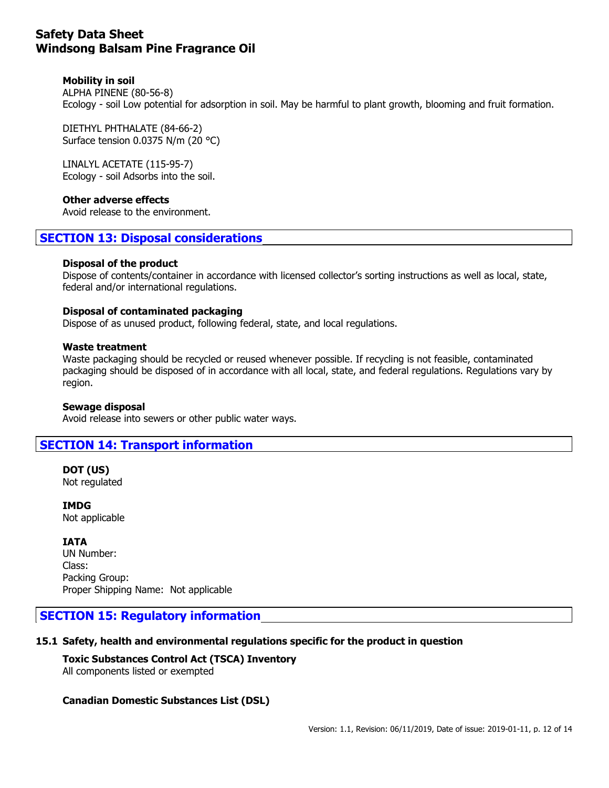#### **Mobility in soil**

ALPHA PINENE (80-56-8) Ecology - soil Low potential for adsorption in soil. May be harmful to plant growth, blooming and fruit formation.

DIETHYL PHTHALATE (84-66-2) Surface tension 0.0375 N/m (20 °C)

LINALYL ACETATE (115-95-7) Ecology - soil Adsorbs into the soil.

#### **Other adverse effects**

Avoid release to the environment.

## **SECTION 13: Disposal considerations**

#### **Disposal of the product**

Dispose of contents/container in accordance with licensed collector's sorting instructions as well as local, state, federal and/or international regulations.

#### **Disposal of contaminated packaging**

Dispose of as unused product, following federal, state, and local regulations.

#### **Waste treatment**

Waste packaging should be recycled or reused whenever possible. If recycling is not feasible, contaminated packaging should be disposed of in accordance with all local, state, and federal regulations. Regulations vary by region.

#### **Sewage disposal**

Avoid release into sewers or other public water ways.

## **SECTION 14: Transport information**

**DOT (US)** Not regulated

**IMDG** Not applicable

#### **IATA**

UN Number: Class: Packing Group: Proper Shipping Name: Not applicable

## **SECTION 15: Regulatory information**

#### **15.1 Safety, health and environmental regulations specific for the product in question**

#### **Toxic Substances Control Act (TSCA) Inventory**

All components listed or exempted

#### **Canadian Domestic Substances List (DSL)**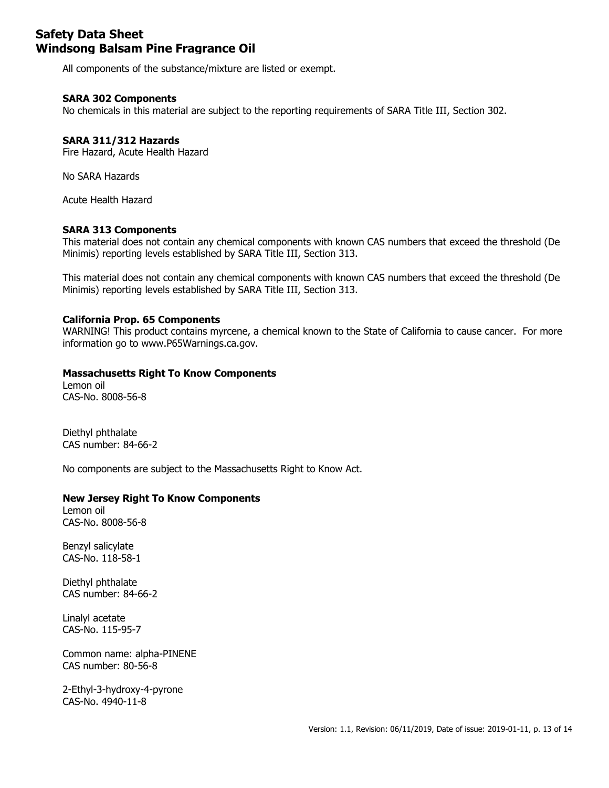All components of the substance/mixture are listed or exempt.

#### **SARA 302 Components**

No chemicals in this material are subject to the reporting requirements of SARA Title III, Section 302.

#### **SARA 311/312 Hazards**

Fire Hazard, Acute Health Hazard

No SARA Hazards

Acute Health Hazard

#### **SARA 313 Components**

This material does not contain any chemical components with known CAS numbers that exceed the threshold (De Minimis) reporting levels established by SARA Title III, Section 313.

This material does not contain any chemical components with known CAS numbers that exceed the threshold (De Minimis) reporting levels established by SARA Title III, Section 313.

#### **California Prop. 65 Components**

WARNING! This product contains myrcene, a chemical known to the State of California to cause cancer. For more information go to www.P65Warnings.ca.gov.

#### **Massachusetts Right To Know Components**

Lemon oil CAS-No. 8008-56-8

Diethyl phthalate CAS number: 84-66-2

No components are subject to the Massachusetts Right to Know Act.

#### **New Jersey Right To Know Components**

Lemon oil CAS-No. 8008-56-8

Benzyl salicylate CAS-No. 118-58-1

Diethyl phthalate CAS number: 84-66-2

Linalyl acetate CAS-No. 115-95-7

Common name: alpha-PINENE CAS number: 80-56-8

2-Ethyl-3-hydroxy-4-pyrone CAS-No. 4940-11-8